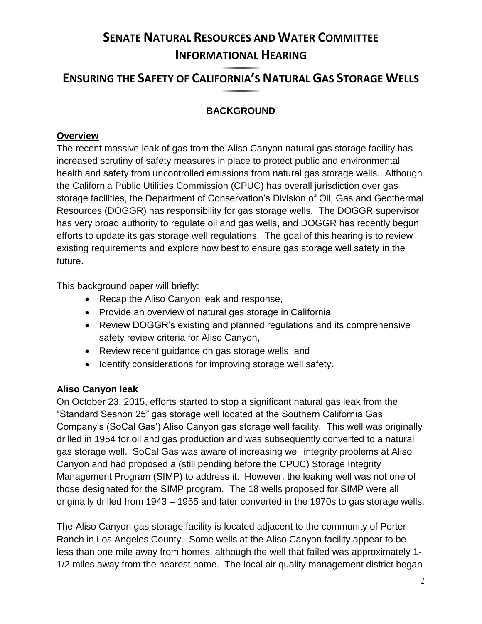# **SENATE NATURAL RESOURCES AND WATER COMMITTEE INFORMATIONAL HEARING**

## **ENSURING THE SAFETY OF CALIFORNIA'S NATURAL GAS STORAGE WELLS**

## **BACKGROUND**

### **Overview**

The recent massive leak of gas from the Aliso Canyon natural gas storage facility has increased scrutiny of safety measures in place to protect public and environmental health and safety from uncontrolled emissions from natural gas storage wells. Although the California Public Utilities Commission (CPUC) has overall jurisdiction over gas storage facilities, the Department of Conservation's Division of Oil, Gas and Geothermal Resources (DOGGR) has responsibility for gas storage wells. The DOGGR supervisor has very broad authority to regulate oil and gas wells, and DOGGR has recently begun efforts to update its gas storage well regulations. The goal of this hearing is to review existing requirements and explore how best to ensure gas storage well safety in the future.

This background paper will briefly:

- Recap the Aliso Canyon leak and response,
- Provide an overview of natural gas storage in California,
- Review DOGGR's existing and planned regulations and its comprehensive safety review criteria for Aliso Canyon,
- Review recent guidance on gas storage wells, and
- Identify considerations for improving storage well safety.

## **Aliso Canyon leak**

On October 23, 2015, efforts started to stop a significant natural gas leak from the "Standard Sesnon 25" gas storage well located at the Southern California Gas Company's (SoCal Gas') Aliso Canyon gas storage well facility. This well was originally drilled in 1954 for oil and gas production and was subsequently converted to a natural gas storage well. SoCal Gas was aware of increasing well integrity problems at Aliso Canyon and had proposed a (still pending before the CPUC) Storage Integrity Management Program (SIMP) to address it. However, the leaking well was not one of those designated for the SIMP program. The 18 wells proposed for SIMP were all originally drilled from 1943 – 1955 and later converted in the 1970s to gas storage wells.

The Aliso Canyon gas storage facility is located adjacent to the community of Porter Ranch in Los Angeles County. Some wells at the Aliso Canyon facility appear to be less than one mile away from homes, although the well that failed was approximately 1- 1/2 miles away from the nearest home. The local air quality management district began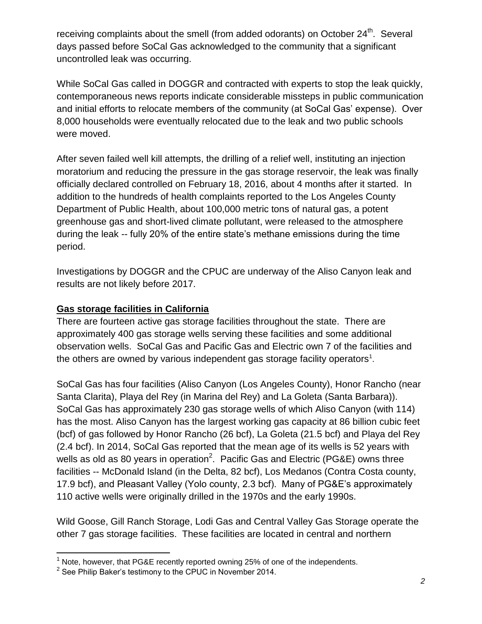receiving complaints about the smell (from added odorants) on October 24<sup>th</sup>. Several days passed before SoCal Gas acknowledged to the community that a significant uncontrolled leak was occurring.

While SoCal Gas called in DOGGR and contracted with experts to stop the leak quickly, contemporaneous news reports indicate considerable missteps in public communication and initial efforts to relocate members of the community (at SoCal Gas' expense). Over 8,000 households were eventually relocated due to the leak and two public schools were moved.

After seven failed well kill attempts, the drilling of a relief well, instituting an injection moratorium and reducing the pressure in the gas storage reservoir, the leak was finally officially declared controlled on February 18, 2016, about 4 months after it started. In addition to the hundreds of health complaints reported to the Los Angeles County Department of Public Health, about 100,000 metric tons of natural gas, a potent greenhouse gas and short-lived climate pollutant, were released to the atmosphere during the leak -- fully 20% of the entire state's methane emissions during the time period.

Investigations by DOGGR and the CPUC are underway of the Aliso Canyon leak and results are not likely before 2017.

#### **Gas storage facilities in California**

There are fourteen active gas storage facilities throughout the state. There are approximately 400 gas storage wells serving these facilities and some additional observation wells. SoCal Gas and Pacific Gas and Electric own 7 of the facilities and the others are owned by various independent gas storage facility operators<sup>1</sup>.

SoCal Gas has four facilities (Aliso Canyon (Los Angeles County), Honor Rancho (near Santa Clarita), Playa del Rey (in Marina del Rey) and La Goleta (Santa Barbara)). SoCal Gas has approximately 230 gas storage wells of which Aliso Canyon (with 114) has the most. Aliso Canyon has the largest working gas capacity at 86 billion cubic feet (bcf) of gas followed by Honor Rancho (26 bcf), La Goleta (21.5 bcf) and Playa del Rey (2.4 bcf). In 2014, SoCal Gas reported that the mean age of its wells is 52 years with wells as old as 80 years in operation<sup>2</sup>. Pacific Gas and Electric (PG&E) owns three facilities -- McDonald Island (in the Delta, 82 bcf), Los Medanos (Contra Costa county, 17.9 bcf), and Pleasant Valley (Yolo county, 2.3 bcf). Many of PG&E's approximately 110 active wells were originally drilled in the 1970s and the early 1990s.

Wild Goose, Gill Ranch Storage, Lodi Gas and Central Valley Gas Storage operate the other 7 gas storage facilities. These facilities are located in central and northern

 $1$  Note, however, that PG&E recently reported owning 25% of one of the independents.

 $2$  See Philip Baker's testimony to the CPUC in November 2014.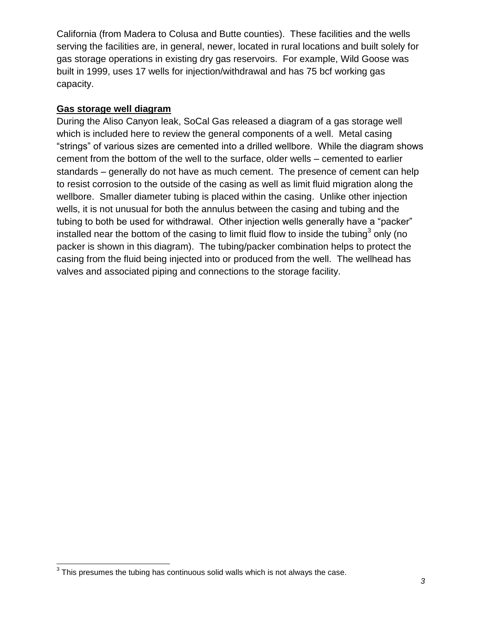California (from Madera to Colusa and Butte counties). These facilities and the wells serving the facilities are, in general, newer, located in rural locations and built solely for gas storage operations in existing dry gas reservoirs. For example, Wild Goose was built in 1999, uses 17 wells for injection/withdrawal and has 75 bcf working gas capacity.

#### **Gas storage well diagram**

During the Aliso Canyon leak, SoCal Gas released a diagram of a gas storage well which is included here to review the general components of a well. Metal casing "strings" of various sizes are cemented into a drilled wellbore. While the diagram shows cement from the bottom of the well to the surface, older wells – cemented to earlier standards – generally do not have as much cement. The presence of cement can help to resist corrosion to the outside of the casing as well as limit fluid migration along the wellbore. Smaller diameter tubing is placed within the casing. Unlike other injection wells, it is not unusual for both the annulus between the casing and tubing and the tubing to both be used for withdrawal. Other injection wells generally have a "packer" installed near the bottom of the casing to limit fluid flow to inside the tubing<sup>3</sup> only (no packer is shown in this diagram). The tubing/packer combination helps to protect the casing from the fluid being injected into or produced from the well. The wellhead has valves and associated piping and connections to the storage facility.

 $\overline{\phantom{a}}$  $3$  This presumes the tubing has continuous solid walls which is not always the case.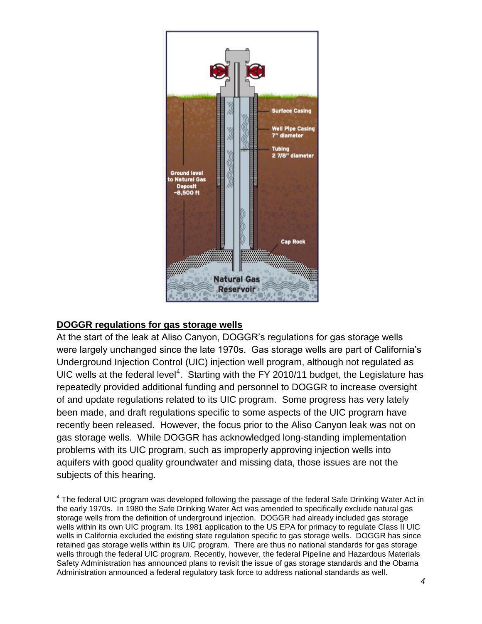

#### **DOGGR regulations for gas storage wells**

At the start of the leak at Aliso Canyon, DOGGR's regulations for gas storage wells were largely unchanged since the late 1970s. Gas storage wells are part of California's Underground Injection Control (UIC) injection well program, although not regulated as UIC wells at the federal level<sup>4</sup>. Starting with the FY 2010/11 budget, the Legislature has repeatedly provided additional funding and personnel to DOGGR to increase oversight of and update regulations related to its UIC program. Some progress has very lately been made, and draft regulations specific to some aspects of the UIC program have recently been released. However, the focus prior to the Aliso Canyon leak was not on gas storage wells. While DOGGR has acknowledged long-standing implementation problems with its UIC program, such as improperly approving injection wells into aquifers with good quality groundwater and missing data, those issues are not the subjects of this hearing.

 4 The federal UIC program was developed following the passage of the federal Safe Drinking Water Act in the early 1970s. In 1980 the Safe Drinking Water Act was amended to specifically exclude natural gas storage wells from the definition of underground injection. DOGGR had already included gas storage wells within its own UIC program. Its 1981 application to the US EPA for primacy to regulate Class II UIC wells in California excluded the existing state regulation specific to gas storage wells. DOGGR has since retained gas storage wells within its UIC program. There are thus no national standards for gas storage wells through the federal UIC program. Recently, however, the federal Pipeline and Hazardous Materials Safety Administration has announced plans to revisit the issue of gas storage standards and the Obama Administration announced a federal regulatory task force to address national standards as well.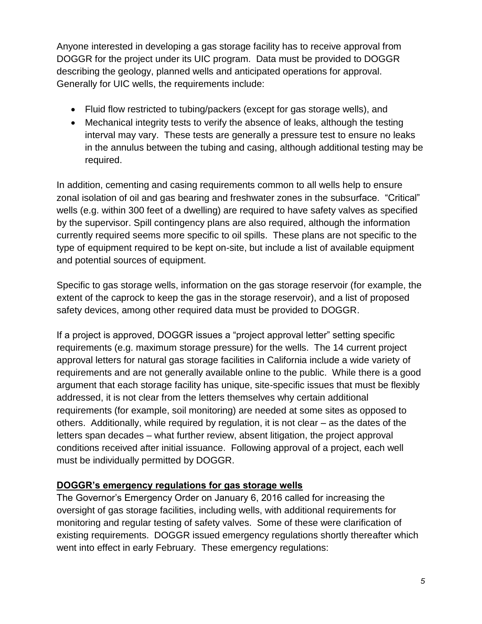Anyone interested in developing a gas storage facility has to receive approval from DOGGR for the project under its UIC program. Data must be provided to DOGGR describing the geology, planned wells and anticipated operations for approval. Generally for UIC wells, the requirements include:

- Fluid flow restricted to tubing/packers (except for gas storage wells), and
- Mechanical integrity tests to verify the absence of leaks, although the testing interval may vary. These tests are generally a pressure test to ensure no leaks in the annulus between the tubing and casing, although additional testing may be required.

In addition, cementing and casing requirements common to all wells help to ensure zonal isolation of oil and gas bearing and freshwater zones in the subsurface. "Critical" wells (e.g. within 300 feet of a dwelling) are required to have safety valves as specified by the supervisor. Spill contingency plans are also required, although the information currently required seems more specific to oil spills. These plans are not specific to the type of equipment required to be kept on-site, but include a list of available equipment and potential sources of equipment.

Specific to gas storage wells, information on the gas storage reservoir (for example, the extent of the caprock to keep the gas in the storage reservoir), and a list of proposed safety devices, among other required data must be provided to DOGGR.

If a project is approved, DOGGR issues a "project approval letter" setting specific requirements (e.g. maximum storage pressure) for the wells. The 14 current project approval letters for natural gas storage facilities in California include a wide variety of requirements and are not generally available online to the public. While there is a good argument that each storage facility has unique, site-specific issues that must be flexibly addressed, it is not clear from the letters themselves why certain additional requirements (for example, soil monitoring) are needed at some sites as opposed to others. Additionally, while required by regulation, it is not clear – as the dates of the letters span decades – what further review, absent litigation, the project approval conditions received after initial issuance. Following approval of a project, each well must be individually permitted by DOGGR.

#### **DOGGR's emergency regulations for gas storage wells**

The Governor's Emergency Order on January 6, 2016 called for increasing the oversight of gas storage facilities, including wells, with additional requirements for monitoring and regular testing of safety valves. Some of these were clarification of existing requirements. DOGGR issued emergency regulations shortly thereafter which went into effect in early February. These emergency regulations: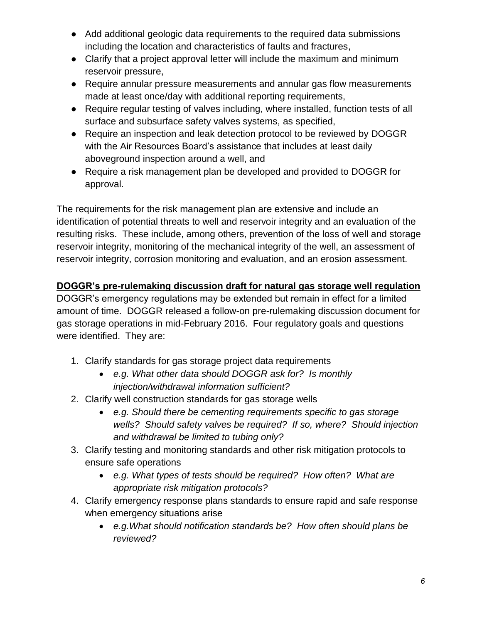- Add additional geologic data requirements to the required data submissions including the location and characteristics of faults and fractures,
- Clarify that a project approval letter will include the maximum and minimum reservoir pressure,
- Require annular pressure measurements and annular gas flow measurements made at least once/day with additional reporting requirements,
- Require regular testing of valves including, where installed, function tests of all surface and subsurface safety valves systems, as specified,
- Require an inspection and leak detection protocol to be reviewed by DOGGR with the Air Resources Board's assistance that includes at least daily aboveground inspection around a well, and
- Require a risk management plan be developed and provided to DOGGR for approval.

The requirements for the risk management plan are extensive and include an identification of potential threats to well and reservoir integrity and an evaluation of the resulting risks. These include, among others, prevention of the loss of well and storage reservoir integrity, monitoring of the mechanical integrity of the well, an assessment of reservoir integrity, corrosion monitoring and evaluation, and an erosion assessment.

## **DOGGR's pre-rulemaking discussion draft for natural gas storage well regulation**

DOGGR's emergency regulations may be extended but remain in effect for a limited amount of time. DOGGR released a follow-on pre-rulemaking discussion document for gas storage operations in mid-February 2016. Four regulatory goals and questions were identified. They are:

- 1. Clarify standards for gas storage project data requirements
	- *e.g. What other data should DOGGR ask for? Is monthly injection/withdrawal information sufficient?*
- 2. Clarify well construction standards for gas storage wells
	- *e.g. Should there be cementing requirements specific to gas storage wells? Should safety valves be required? If so, where? Should injection and withdrawal be limited to tubing only?*
- 3. Clarify testing and monitoring standards and other risk mitigation protocols to ensure safe operations
	- *e.g. What types of tests should be required? How often? What are appropriate risk mitigation protocols?*
- 4. Clarify emergency response plans standards to ensure rapid and safe response when emergency situations arise
	- *e.g.What should notification standards be? How often should plans be reviewed?*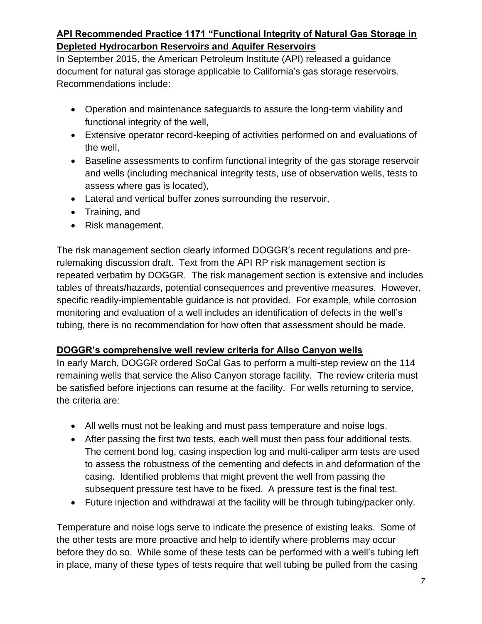## **API Recommended Practice 1171 "Functional Integrity of Natural Gas Storage in Depleted Hydrocarbon Reservoirs and Aquifer Reservoirs**

In September 2015, the American Petroleum Institute (API) released a guidance document for natural gas storage applicable to California's gas storage reservoirs. Recommendations include:

- Operation and maintenance safeguards to assure the long-term viability and functional integrity of the well,
- Extensive operator record-keeping of activities performed on and evaluations of the well,
- Baseline assessments to confirm functional integrity of the gas storage reservoir and wells (including mechanical integrity tests, use of observation wells, tests to assess where gas is located),
- Lateral and vertical buffer zones surrounding the reservoir,
- Training, and
- Risk management.

The risk management section clearly informed DOGGR's recent regulations and prerulemaking discussion draft. Text from the API RP risk management section is repeated verbatim by DOGGR. The risk management section is extensive and includes tables of threats/hazards, potential consequences and preventive measures. However, specific readily-implementable guidance is not provided. For example, while corrosion monitoring and evaluation of a well includes an identification of defects in the well's tubing, there is no recommendation for how often that assessment should be made.

#### **DOGGR's comprehensive well review criteria for Aliso Canyon wells**

In early March, DOGGR ordered SoCal Gas to perform a multi-step review on the 114 remaining wells that service the Aliso Canyon storage facility. The review criteria must be satisfied before injections can resume at the facility. For wells returning to service, the criteria are:

- All wells must not be leaking and must pass temperature and noise logs.
- After passing the first two tests, each well must then pass four additional tests. The cement bond log, casing inspection log and multi-caliper arm tests are used to assess the robustness of the cementing and defects in and deformation of the casing. Identified problems that might prevent the well from passing the subsequent pressure test have to be fixed. A pressure test is the final test.
- Future injection and withdrawal at the facility will be through tubing/packer only.

Temperature and noise logs serve to indicate the presence of existing leaks. Some of the other tests are more proactive and help to identify where problems may occur before they do so. While some of these tests can be performed with a well's tubing left in place, many of these types of tests require that well tubing be pulled from the casing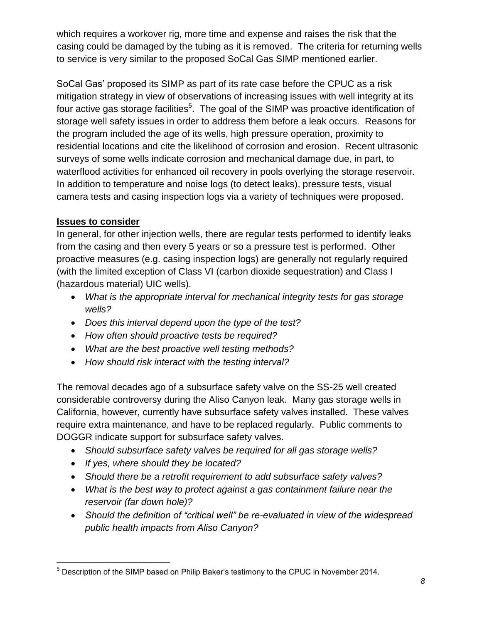which requires a workover rig, more time and expense and raises the risk that the casing could be damaged by the tubing as it is removed. The criteria for returning wells to service is very similar to the proposed SoCal Gas SIMP mentioned earlier.

SoCal Gas' proposed its SIMP as part of its rate case before the CPUC as a risk mitigation strategy in view of observations of increasing issues with well integrity at its four active gas storage facilities<sup>5</sup>. The goal of the SIMP was proactive identification of storage well safety issues in order to address them before a leak occurs. Reasons for the program included the age of its wells, high pressure operation, proximity to residential locations and cite the likelihood of corrosion and erosion. Recent ultrasonic surveys of some wells indicate corrosion and mechanical damage due, in part, to waterflood activities for enhanced oil recovery in pools overlying the storage reservoir. In addition to temperature and noise logs (to detect leaks), pressure tests, visual camera tests and casing inspection logs via a variety of techniques were proposed.

#### **Issues to consider**

In general, for other injection wells, there are regular tests performed to identify leaks from the casing and then every 5 years or so a pressure test is performed. Other proactive measures (e.g. casing inspection logs) are generally not regularly required (with the limited exception of Class VI (carbon dioxide sequestration) and Class I (hazardous material) UIC wells).

- *What is the appropriate interval for mechanical integrity tests for gas storage wells?*
- *Does this interval depend upon the type of the test?*
- *How often should proactive tests be required?*
- *What are the best proactive well testing methods?*
- *How should risk interact with the testing interval?*

The removal decades ago of a subsurface safety valve on the SS-25 well created considerable controversy during the Aliso Canyon leak. Many gas storage wells in California, however, currently have subsurface safety valves installed. These valves require extra maintenance, and have to be replaced regularly. Public comments to DOGGR indicate support for subsurface safety valves.

- *Should subsurface safety valves be required for all gas storage wells?*
- *If yes, where should they be located?*
- *Should there be a retrofit requirement to add subsurface safety valves?*
- *What is the best way to protect against a gas containment failure near the reservoir (far down hole)?*
- *Should the definition of "critical well" be re-evaluated in view of the widespread public health impacts from Aliso Canyon?*

 $\overline{a}$ <sup>5</sup> Description of the SIMP based on Philip Baker's testimony to the CPUC in November 2014.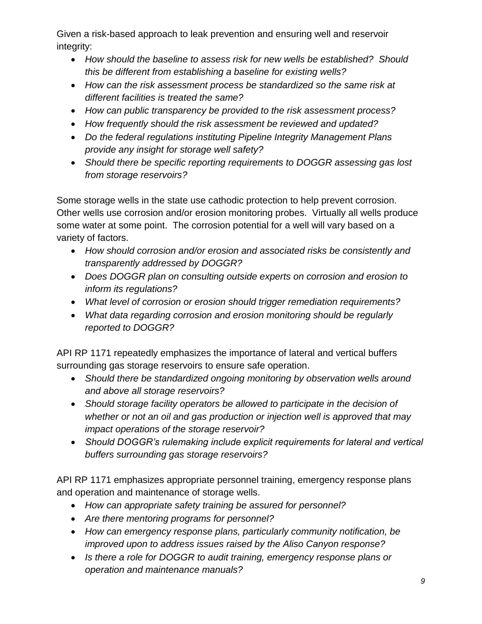Given a risk-based approach to leak prevention and ensuring well and reservoir integrity:

- *How should the baseline to assess risk for new wells be established? Should this be different from establishing a baseline for existing wells?*
- *How can the risk assessment process be standardized so the same risk at different facilities is treated the same?*
- *How can public transparency be provided to the risk assessment process?*
- *How frequently should the risk assessment be reviewed and updated?*
- *Do the federal regulations instituting Pipeline Integrity Management Plans provide any insight for storage well safety?*
- *Should there be specific reporting requirements to DOGGR assessing gas lost from storage reservoirs?*

Some storage wells in the state use cathodic protection to help prevent corrosion. Other wells use corrosion and/or erosion monitoring probes. Virtually all wells produce some water at some point. The corrosion potential for a well will vary based on a variety of factors.

- *How should corrosion and/or erosion and associated risks be consistently and transparently addressed by DOGGR?*
- *Does DOGGR plan on consulting outside experts on corrosion and erosion to inform its regulations?*
- *What level of corrosion or erosion should trigger remediation requirements?*
- *What data regarding corrosion and erosion monitoring should be regularly reported to DOGGR?*

API RP 1171 repeatedly emphasizes the importance of lateral and vertical buffers surrounding gas storage reservoirs to ensure safe operation.

- *Should there be standardized ongoing monitoring by observation wells around and above all storage reservoirs?*
- *Should storage facility operators be allowed to participate in the decision of whether or not an oil and gas production or injection well is approved that may impact operations of the storage reservoir?*
- *Should DOGGR's rulemaking include explicit requirements for lateral and vertical buffers surrounding gas storage reservoirs?*

API RP 1171 emphasizes appropriate personnel training, emergency response plans and operation and maintenance of storage wells.

- *How can appropriate safety training be assured for personnel?*
- *Are there mentoring programs for personnel?*
- *How can emergency response plans, particularly community notification, be improved upon to address issues raised by the Aliso Canyon response?*
- *Is there a role for DOGGR to audit training, emergency response plans or operation and maintenance manuals?*